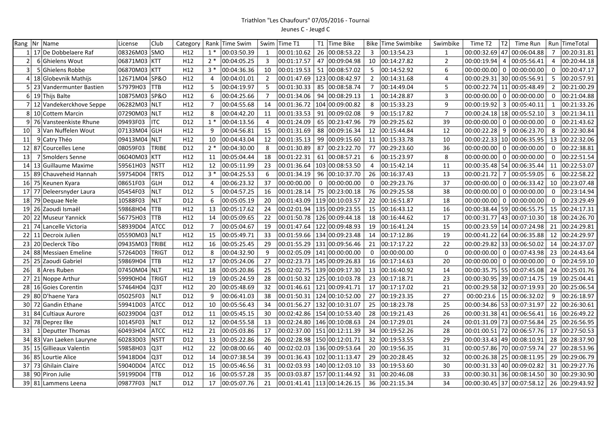## Triathlon "Les Chaufours" 07/05/2016 - Tournai Jeunes C - Jeugd C

|                 | Rang   Nr   Name          | License       | Club         | Category        | Rank           | Time Swim   |                         | Swim Time T1 |     | T1 Time Bike                    |                 | Bike Time Swimbike | Swimbike       | T2<br>Time T2                             | Time Run        |                | Run TimeTotal  |
|-----------------|---------------------------|---------------|--------------|-----------------|----------------|-------------|-------------------------|--------------|-----|---------------------------------|-----------------|--------------------|----------------|-------------------------------------------|-----------------|----------------|----------------|
|                 | 17 De Dobbelaere Raf      | 08326M03 SMO  |              | H <sub>12</sub> | $1*$           | 00:03:50.39 | $\mathbf{1}$            | 00:01:10.62  | 26  | 00:08:53.22                     | 3               | 00:13:54.23        | $\mathbf{1}$   | 00:00:32.69 47 00:06:04.88                |                 | $\overline{7}$ | 00:20:31.81    |
| $\overline{2}$  | 6 Ghielens Wout           | 06871M03 KTT  |              | H12             | $2*$           | 00:04:05.25 | $\overline{\mathbf{3}}$ | 00:01:17.57  | 47  | 00:09:04.98                     | 10              | 00:14:27.82        | $\overline{2}$ | $00:00:19.94$ 4                           | 00:05:56.41     | $\overline{4}$ | 00:20:44.18    |
| 3               | 5 Ghielens Robbe          | 06870M03 KTT  |              | H12             | $3*$           | 00:04:36.36 | 10                      | 00:01:19.53  | 51  | 00:08:57.02                     | 5               | 00:14:52.92        | 6              | $00:00:00.00$   0   00:00:00.00           |                 | 0              | 00:20:47.17    |
| 4 <sup>1</sup>  | 18 Globevnik Mathijs      | 12671M04 SP&O |              | H12             | 4              | 00:04:01.01 | $\overline{2}$          | 00:01:47.69  |     | 123 00:08:42.97                 | $\overline{2}$  | 00:14:31.68        | $\overline{4}$ | 00:00:29.31 30 00:05:56.91                |                 | -5             | 00:20:57.91    |
| 51              | 23 Vandermunter Bastien   | 57979H03      | <b>TTB</b>   | H12             | 5              | 00:04:19.97 | - 5                     | 00:01:30.33  | 85  | 00:08:58.74                     | $\overline{7}$  | 00:14:49.04        | 5              | 00:00:22.74   11   00:05:48.49            |                 | $\overline{2}$ | 00:21:00.29    |
|                 | $6 19 $ Thijs Balte       | 10875M03 SP&O |              | H12             | 6              | 00:04:25.66 | $\overline{7}$          | 00:01:34.06  | 94  | 00:08:29.13                     | 1               | 00:14:28.87        | 3              | 00:00:00.00                               | 0   00:00:00.00 | $\Omega$       | 00:21:04.88    |
|                 | 7 12 Vandekerckhove Seppe | 06282M03 NLT  |              | H12             | $\overline{7}$ | 00:04:55.68 | 14                      | 00:01:36.72  | 104 | 00:09:00.82                     | 8               | 00:15:33.23        | 9              | 00:00:19.92<br>$\overline{\phantom{a}}$ 3 | 00:05:40.11     | $\mathbf{1}$   | 00:21:33.26    |
| 8               | 10 Cottem Marcin          | 07290M03      | <b>NLT</b>   | H12             | 8              | 00:04:42.20 | 11                      | 00:01:33.53  | 91  | 00:09:02.08                     | 9               | 00:15:17.82        | $\overline{7}$ | 00:00:24.18   18   00:05:52.10            |                 | 3              | 00:21:34.11    |
| $\overline{9}$  | 76 Vansteenkiste Rhune    | 09493F03      | <b>ITC</b>   | D12             | $1*$           | 00:04:13.56 | $\overline{4}$          | 00:01:24.09  | 65  | 00:23:47.96                     | 79              | 00:29:25.62        | 39             | $00:00:00.00$ 0                           | 00:00:00.00     | $\Omega$       | 00:21:43.62    |
| 10              | 3 Van Nuffelen Wout       | 07133M04      | <b>GLH</b>   | H12             | 9              | 00:04:56.81 | 15                      | 00:01:31.69  | 88  | 00:09:16.34                     | 12              | 00:15:44.84        | 12             | $00:00:22.28$ 9                           | 00:06:23.70     | 8              | 00:22:30.84    |
| 11              | 9 Catry Théo              | 09413M04 NLT  |              | H12             | 10             | 00:04:43.04 | 12                      | 00:01:35.13  | 99  | 00:09:15.60                     | 11              | 00:15:33.78        | 10             | 00:00:22.33   10   00:06:35.95            |                 | 13             | 00:22:32.06    |
| 12 <sup>1</sup> | 87 Courcelles Lene        | 08059F03      | TRIBE        | D12             | $2*$           | 00:04:30.00 | -8                      | 00:01:30.89  | 87  | 00:23:22.70                     | 77              | 00:29:23.60        | 36             | 00:00:00.00   0   00:00:00.00             |                 | $\mathbf 0$    | 00:22:38.81    |
| 13              | 7 Smolders Senne          | 06040M03      | <b>KTT</b>   | H12             | 11             | 00:05:04.44 | 18                      | 00:01:22.31  | 61  | 00:08:57.21                     | 6               | 00:15:23.97        | 8              | $00:00:00.00$ 0 0:00:00.00                |                 | $\Omega$       | 00:22:51.54    |
| 14              | 13 Guillaume Maxime       | 59561H03      | <b>NSTT</b>  | H12             | 12             | 00:05:11.99 | 23                      | 00:01:36.64  |     | 103 00:08:53.50                 | 4               | 00:15:42.14        | 11             | 00:00:35.48   54   00:06:35.44            |                 | 11             | 00:22:53.07    |
| 15 <sup>1</sup> | 89 Chauveheid Hannah      | 59754D04      | <b>TRTS</b>  | D12             | $3*$           | 00:04:25.53 | 6                       | 00:01:34.19  | 96  | 00:10:37.70                     | 26              | 00:16:37.43        | 13             | $00:00:21.72$ 7                           | 00:05:59.05     | 6              | 00:22:58.22    |
| 16 <sup>1</sup> | 75 Keunen Kyara           | 08651F03      | GLH          | D12             | $\overline{4}$ | 00:06:23.32 | 37                      | 00:00:00.00  | 0   | 00:00:00.00                     | $\Omega$        | 00:29:23.76        | 37             | $00:00:00.00$ 0                           | 00:06:33.42     | 10             | 00:23:07.48    |
| 17 <sup>1</sup> | 77 Deleersnyder Laura     | 05454F03      | <b>NLT</b>   | D12             | 5              | 00:04:57.25 | 16                      | 00:01:28.14  | 75  | 00:23:00.18                     | 76              | 00:29:25.58        | 38             | $00:00:00.00$ 0                           | 00:00:00.00     | 0              | 00:23:14.94    |
| 18              | 79 Dequae Nele            | 10588F03      | <b>NLT</b>   | D12             | 6              | 00:05:05.19 | 20                      | 00:01:43.09  |     | 119 00:10:03.57                 | 22              | 00:16:51.87        | 18             | $00:00:00.00$   0   00:00:00.00           |                 | $\Omega$       | 00:23:29.49    |
| 19              | 26 Zaoudi Ismaël          | 59868H04      | <b>TTB</b>   | H12             | 13             | 00:05:17.62 | 24                      | 00:02:01.94  |     | 135 00:09:23.55                 | 15              | 00:16:43.12        | 16             | 00:00:38.44 59 00:06:55.75                |                 | 15             | 00:24:17.31    |
| 20              | 22 Museur Yannick         | 56775H03      | <b>TTB</b>   | H12             | 14             | 00:05:09.65 | 22                      | 00:01:50.78  |     | 126 00:09:44.18                 | 18              | 00:16:44.62        | 17             | 00:00:31.77 43 00:07:10.30                |                 | 18             | 00:24:26.70    |
| 21              | 74 Lancelle Victoria      | 58939D04      | <b>ATCC</b>  | D12             | $\overline{7}$ | 00:05:04.67 | 19                      | 00:01:47.64  |     | 122 00:09:48.93                 | 19              | 00:16:41.24        | 15             | 00:00:23.59   14   00:07:24.98            |                 | 21             | 00:24:29.81    |
| 22              | 11 Decroix Julien         | 05590M03      | NLT          | H12             | 15             | 00:05:49.71 | 33                      | 00:01:59.66  |     | 134 00:09:23.48                 | 14              | 00:17:12.86        | 19             | 00:00:41.22 64 00:06:35.88                |                 | 12             | 00:24:29.97    |
| 23              | 20 Declerck Tibo          | 09435M03      | TRIBE        | H12             | 16             | 00:05:25.45 | 29                      | 00:01:55.29  |     | 131 00:09:56.46                 | 21              | 00:17:17.22        | 22             | 00:00:29.82 33 00:06:50.02                |                 |                | 14 00:24:37.07 |
| 24              | 88 Messiaen Emeline       | 57264D03      | <b>TRIGT</b> | D12             | 8              | 00:04:32.90 | 9                       | 00:02:05.09  |     | 141 00:00:00.00                 | $\mathbf 0$     | 00:00:00.00        | $\mathbf 0$    | $00:00:00.00$ 0                           | 00:07:43.98     | 23             | 00:24:43.64    |
| 25              | 25 Zaoudi Gabriel         | 59869H04      | <b>TTB</b>   | H12             | 17             | 00:05:24.06 | 27                      | 00:02:23.73  |     | 145 00:09:26.83                 | 16              | 00:17:14.63        | 20             | $00:00:00.00$ 0 0:00:00.00                |                 | $\mathbf 0$    | 00:24:59.10    |
| 26              | 8 Ares Ruben              | 07450M04      | <b>NLT</b>   | H <sub>12</sub> | 18             | 00:05:20.86 | 25                      | 00:02:02.75  |     | 139 00:09:17.30                 |                 | 13 00:16:40.92     | 14             | 00:00:35.75 55 00:07:45.08                |                 | 24             | 00:25:01.76    |
| 271             | 21 Noppe Arthur           | 59990H04      | <b>TRIGT</b> | H12             | 19             | 00:05:24.59 | 28                      | 00:01:50.32  |     | 125 00:10:03.78                 | 23              | 00:17:18.71        | 23             | 00:00:30.95 39 00:07:14.75                |                 | 19             | 00:25:04.41    |
| 28              | 16 Goies Corentin         | 57464H04      | Q3T          | H12             | 20             | 00:05:48.69 | 32                      | 00:01:46.61  |     | 121 00:09:41.71                 | 17              | 00:17:17.02        | 21             | 00:00:29.58 32 00:07:19.93                |                 | 20             | 00:25:06.54    |
| 29              | 80 D'haene Yara           | 05025F03      | <b>NLT</b>   | D12             | 9              | 00:06:41.03 | 38                      |              |     | 00:01:50.31   124   00:10:52.00 | 27              | 00:19:23.35        | 27             | 00:00:23.6   15   00:06:32.02             |                 | 9              | 00:26:18.97    |
| 30 <sup>1</sup> | 72 Gandin Ethane          | 59941D03      | <b>ATCC</b>  | D12             | 10             | 00:05:56.43 | 34                      | 00:01:56.27  |     | 132 00:10:31.07                 | 25              | 00:18:23.78        | 25             | 00:00:34.86 53 00:07:31.97                |                 | 22             | 00:26:30.61    |
| 31              | 84 Cultiaux Aurore        | 60239D04      | Q3T          | D12             | 11             | 00:05:45.15 | 30                      | 00:02:42.86  |     | 154 00:10:53.40                 | 28              | 00:19:21.43        | 26             | 00:00:31.38 41 00:06:56.41                |                 | 16             | 00:26:49.22    |
| 32 <sub>1</sub> | 78 Deprez Ilke            | 10145F03      | <b>NLT</b>   | D12             | 12             | 00:04:55.58 | 13                      | 00:02:24.80  |     | 146 00:10:08.63                 | 24              | 00:17:29.01        | 24             | 00:01:31.09 73 00:07:56.84                |                 | 25             | 00:26:56.95    |
| 33              | 1 Deputter Thomas         | 60493H04      | <b>ATCC</b>  | H12             | 21             | 00:05:03.86 | 17                      | 00:02:37.00  |     | 151 00:12:11.39                 |                 | 34 00:19:52.26     | 28             | 00:01:00.51 72 00:06:57.76                |                 | 17             | 00:27:50.53    |
| 34              | 83 Van Laeken Lauryne     | 60283D03      | <b>NSTT</b>  | D12             | 13             | 00:05:22.86 | 26                      | 00:02:28.98  |     | 150 00:12:01.71                 | 32 <sup>2</sup> | 00:19:53.55        | 29             | 00:00:33.43 49 00:08:10.91                |                 | 28             | 00:28:37.90    |
| 35              | 15 Gillieaux Valentin     | 59858H03      | Q3T          | H12             | 22             | 00:08:00.66 | 40                      | 00:02:02.03  |     | 136 00:09:53.64                 | 20              | 00:19:56.35        | 31             | 00:00:57.86   70   00:07:59.74            |                 | 27             | 00:28:53.96    |
| 36              | 85 Lourtie Alice          | 59418D04      | Q3T          | D12             | 14             | 00:07:38.54 | 39                      | 00:01:36.43  |     | 102 00:11:13.47                 | 29              | 00:20:28.45        | 32             | 00:00:26.38 25 00:08:11.95                |                 | 29             | 00:29:06.79    |
| 37 <sup>1</sup> | 73 Ghilain Claire         | 59040D04      | <b>ATCC</b>  | D12             | 15             | 00:05:46.56 | 31                      | 00:02:03.93  |     | 140 00:12:03.10                 | 33              | 00:19:53.60        | 30             | 00:00:31.33   40   00:09:02.82            |                 | 31             | 00:29:27.76    |
| 381             | 90 Piron Julie            | 59199D04      | <b>TTB</b>   | D12             | 16             | 00:05:57.28 | 35                      | 00:03:03.87  |     | 157 00:11:44.92                 | 31              | 00:20:46.08        | 33             | $00:00:30.31$ 36                          | 00:08:14.50     | 30             | 00:29:30.90    |
|                 | 39 81 Lammens Leena       | 09877F03      | <b>NLT</b>   | D <sub>12</sub> | 17             | 00:05:07.76 | 21                      | 00:01:41.41  |     | 113 00:14:26.15                 | 36              | 00:21:15.34        | 34             | 00:00:30.45 37 00:07:58.12                |                 |                | 26 00:29:43.92 |